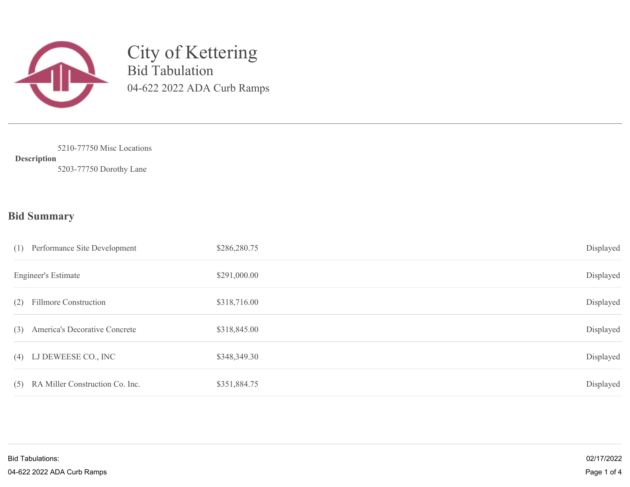

City of Kettering Bid Tabulation 04-622 2022 ADA Curb Ramps

**Description** 5210-77750 Misc Locations

5203-77750 Dorothy Lane

## **Bid Summary**

|     | (1) Performance Site Development    | \$286,280.75 | Displayed |
|-----|-------------------------------------|--------------|-----------|
|     | <b>Engineer's Estimate</b>          | \$291,000.00 | Displayed |
| (2) | <b>Fillmore Construction</b>        | \$318,716.00 | Displayed |
| (3) | America's Decorative Concrete       | \$318,845.00 | Displayed |
|     | (4) LJ DEWEESE CO., INC             | \$348,349.30 | Displayed |
|     | (5) RA Miller Construction Co. Inc. | \$351,884.75 | Displayed |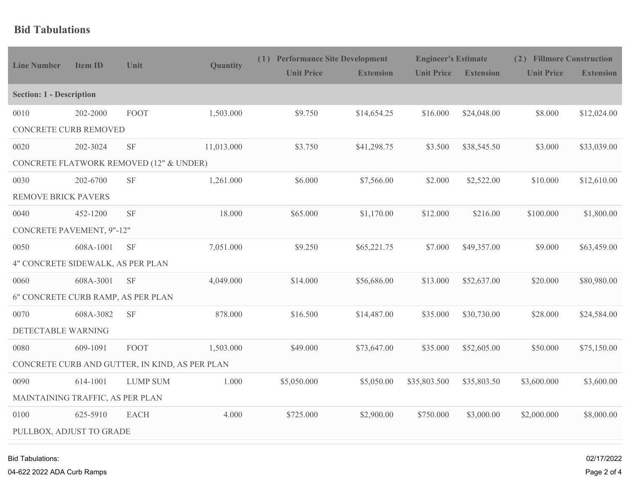## **Bid Tabulations**

| <b>Line Number</b>                             | <b>Item ID</b>                   | Unit                                    | <b>Quantity</b> | <b>Performance Site Development</b><br>(1) |                  |                   | <b>Engineer's Estimate</b> |                   | (2) Fillmore Construction |  |
|------------------------------------------------|----------------------------------|-----------------------------------------|-----------------|--------------------------------------------|------------------|-------------------|----------------------------|-------------------|---------------------------|--|
|                                                |                                  |                                         |                 | <b>Unit Price</b>                          | <b>Extension</b> | <b>Unit Price</b> | <b>Extension</b>           | <b>Unit Price</b> | <b>Extension</b>          |  |
| <b>Section: 1 - Description</b>                |                                  |                                         |                 |                                            |                  |                   |                            |                   |                           |  |
| 0010                                           | 202-2000                         | FOOT                                    | 1,503.000       | \$9.750                                    | \$14,654.25      | \$16.000          | \$24,048.00                | \$8.000           | \$12,024.00               |  |
| CONCRETE CURB REMOVED                          |                                  |                                         |                 |                                            |                  |                   |                            |                   |                           |  |
| 0020                                           | 202-3024                         | $\rm{SF}$                               | 11,013.000      | \$3.750                                    | \$41,298.75      | \$3.500           | \$38,545.50                | \$3.000           | \$33,039.00               |  |
|                                                |                                  | CONCRETE FLATWORK REMOVED (12" & UNDER) |                 |                                            |                  |                   |                            |                   |                           |  |
| 0030                                           | 202-6700                         | <b>SF</b>                               | 1,261.000       | \$6.000                                    | \$7,566.00       | \$2.000           | \$2,522.00                 | \$10.000          | \$12,610.00               |  |
| <b>REMOVE BRICK PAVERS</b>                     |                                  |                                         |                 |                                            |                  |                   |                            |                   |                           |  |
| 0040                                           | 452-1200                         | <b>SF</b>                               | 18.000          | \$65.000                                   | \$1,170.00       | \$12.000          | \$216.00                   | \$100.000         | \$1,800.00                |  |
| CONCRETE PAVEMENT, 9"-12"                      |                                  |                                         |                 |                                            |                  |                   |                            |                   |                           |  |
| 0050                                           | 608A-1001                        | <b>SF</b>                               | 7,051.000       | \$9.250                                    | \$65,221.75      | \$7.000           | \$49,357.00                | \$9.000           | \$63,459.00               |  |
| 4" CONCRETE SIDEWALK, AS PER PLAN              |                                  |                                         |                 |                                            |                  |                   |                            |                   |                           |  |
| 0060                                           | 608A-3001                        | <b>SF</b>                               | 4,049.000       | \$14.000                                   | \$56,686.00      | \$13.000          | \$52,637.00                | \$20.000          | \$80,980.00               |  |
| 6" CONCRETE CURB RAMP, AS PER PLAN             |                                  |                                         |                 |                                            |                  |                   |                            |                   |                           |  |
| 0070                                           | 608A-3082                        | <b>SF</b>                               | 878.000         | \$16.500                                   | \$14,487.00      | \$35.000          | \$30,730.00                | \$28.000          | \$24,584.00               |  |
| DETECTABLE WARNING                             |                                  |                                         |                 |                                            |                  |                   |                            |                   |                           |  |
| 0080                                           | 609-1091                         | FOOT                                    | 1,503.000       | \$49.000                                   | \$73,647.00      | \$35.000          | \$52,605.00                | \$50.000          | \$75,150.00               |  |
| CONCRETE CURB AND GUTTER, IN KIND, AS PER PLAN |                                  |                                         |                 |                                            |                  |                   |                            |                   |                           |  |
| 0090                                           | 614-1001                         | <b>LUMP SUM</b>                         | 1.000           | \$5,050.000                                | \$5,050.00       | \$35,803.500      | \$35,803.50                | \$3,600.000       | \$3,600.00                |  |
|                                                | MAINTAINING TRAFFIC, AS PER PLAN |                                         |                 |                                            |                  |                   |                            |                   |                           |  |
| 0100                                           | 625-5910                         | <b>EACH</b>                             | 4.000           | \$725.000                                  | \$2,900.00       | \$750.000         | \$3,000.00                 | \$2,000.000       | \$8,000.00                |  |
| PULLBOX, ADJUST TO GRADE                       |                                  |                                         |                 |                                            |                  |                   |                            |                   |                           |  |
|                                                |                                  |                                         |                 |                                            |                  |                   |                            |                   |                           |  |

## Bid Tabulations:

04-622 2022 ADA Curb Ramps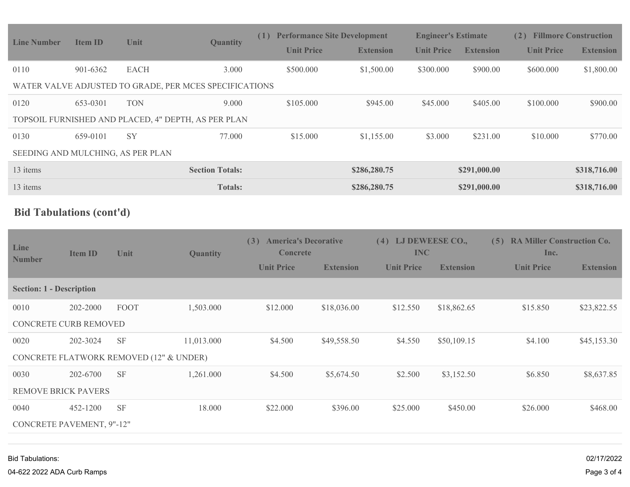| <b>Line Number</b>                                     | <b>Item ID</b> | Unit        | <b>Quantity</b>        | <b>Performance Site Development</b><br>(1) |                  | <b>Engineer's Estimate</b> |                  | <b>Fillmore Construction</b><br>(2) |                  |
|--------------------------------------------------------|----------------|-------------|------------------------|--------------------------------------------|------------------|----------------------------|------------------|-------------------------------------|------------------|
|                                                        |                |             |                        | <b>Unit Price</b>                          | <b>Extension</b> | <b>Unit Price</b>          | <b>Extension</b> | <b>Unit Price</b>                   | <b>Extension</b> |
| 0110                                                   | 901-6362       | <b>EACH</b> | 3.000                  | \$500.000                                  | \$1,500.00       | \$300.000                  | \$900.00         | \$600.000                           | \$1,800.00       |
| WATER VALVE ADJUSTED TO GRADE, PER MCES SPECIFICATIONS |                |             |                        |                                            |                  |                            |                  |                                     |                  |
| 0120                                                   | 653-0301       | <b>TON</b>  | 9.000                  | \$105,000                                  | \$945.00         | \$45.000                   | \$405.00         | \$100.000                           | \$900.00         |
| TOPSOIL FURNISHED AND PLACED, 4" DEPTH, AS PER PLAN    |                |             |                        |                                            |                  |                            |                  |                                     |                  |
| 0130                                                   | 659-0101       | <b>SY</b>   | 77.000                 | \$15.000                                   | \$1,155.00       | \$3.000                    | \$231.00         | \$10.000                            | \$770.00         |
| SEEDING AND MULCHING, AS PER PLAN                      |                |             |                        |                                            |                  |                            |                  |                                     |                  |
| 13 items                                               |                |             | <b>Section Totals:</b> |                                            | \$286,280.75     |                            | \$291,000.00     |                                     | \$318,716.00     |
| 13 items                                               |                |             | <b>Totals:</b>         |                                            | \$286,280.75     |                            | \$291,000.00     |                                     | \$318,716.00     |

## **Bid Tabulations (cont'd)**

| Line<br><b>Number</b>                   | <b>Item ID</b>            | Unit      | <b>Quantity</b> | (3)<br><b>America's Decorative</b><br><b>Concrete</b> |                  | LJ DEWEESE CO.,<br>(4)<br><b>INC</b> |                  | <b>RA Miller Construction Co.</b><br>(5)<br>Inc. |                  |
|-----------------------------------------|---------------------------|-----------|-----------------|-------------------------------------------------------|------------------|--------------------------------------|------------------|--------------------------------------------------|------------------|
|                                         |                           |           |                 | <b>Unit Price</b>                                     | <b>Extension</b> | <b>Unit Price</b>                    | <b>Extension</b> | <b>Unit Price</b>                                | <b>Extension</b> |
| <b>Section: 1 - Description</b>         |                           |           |                 |                                                       |                  |                                      |                  |                                                  |                  |
| 0010                                    | 202-2000                  | FOOT      | 1,503.000       | \$12.000                                              | \$18,036.00      | \$12.550                             | \$18,862.65      | \$15.850                                         | \$23,822.55      |
| CONCRETE CURB REMOVED                   |                           |           |                 |                                                       |                  |                                      |                  |                                                  |                  |
| 0020                                    | 202-3024                  | <b>SF</b> | 11,013.000      | \$4.500                                               | \$49,558.50      | \$4.550                              | \$50,109.15      | \$4.100                                          | \$45,153.30      |
| CONCRETE FLATWORK REMOVED (12" & UNDER) |                           |           |                 |                                                       |                  |                                      |                  |                                                  |                  |
| 0030                                    | 202-6700                  | <b>SF</b> | 1,261.000       | \$4.500                                               | \$5,674.50       | \$2.500                              | \$3,152.50       | \$6.850                                          | \$8,637.85       |
| <b>REMOVE BRICK PAVERS</b>              |                           |           |                 |                                                       |                  |                                      |                  |                                                  |                  |
| 0040                                    | 452-1200                  | <b>SF</b> | 18.000          | \$22.000                                              | \$396.00         | \$25.000                             | \$450.00         | \$26.000                                         | \$468.00         |
|                                         | CONCRETE PAVEMENT, 9"-12" |           |                 |                                                       |                  |                                      |                  |                                                  |                  |
|                                         |                           |           |                 |                                                       |                  |                                      |                  |                                                  |                  |

Bid Tabulations: